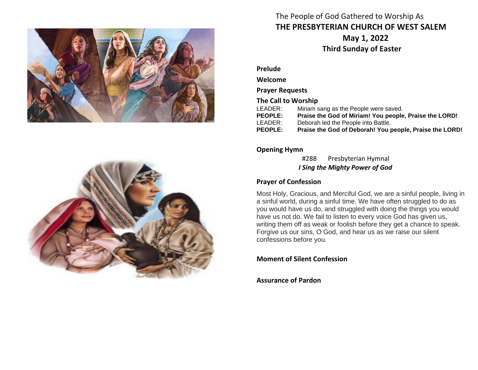



# The People of God Gathered to Worship As **THE PRESBYTERIAN CHURCH OF WEST SALEM May 1, 2022 Third Sunday of Easter**

**Prelude**

**Welcome**

**Prayer Requests**

**The Call to Worship**

- LEADER: Miriam sang as the People were saved.<br> **PEOPLE:** Praise the God of Miriam! You people Praise the God of Miriam! You people, Praise the LORD!
- LEADER: Deborah led the People into Battle.
- **PEOPLE: Praise the God of Deborah! You people, Praise the LORD!**

# **Opening Hymn**

#288 Presbyterian Hymnal  *I Sing the Mighty Power of God*

# **Prayer of Confession**

Most Holy, Gracious, and Merciful God, we are a sinful people, living in a sinful world, during a sinful time. We have often struggled to do as you would have us do, and struggled with doing the things you would have us not do. We fail to listen to every voice God has given us, writing them off as weak or foolish before they get a chance to speak. Forgive us our sins, O God, and hear us as we raise our silent confessions before you.

**Moment of Silent Confession**

**Assurance of Pardon**